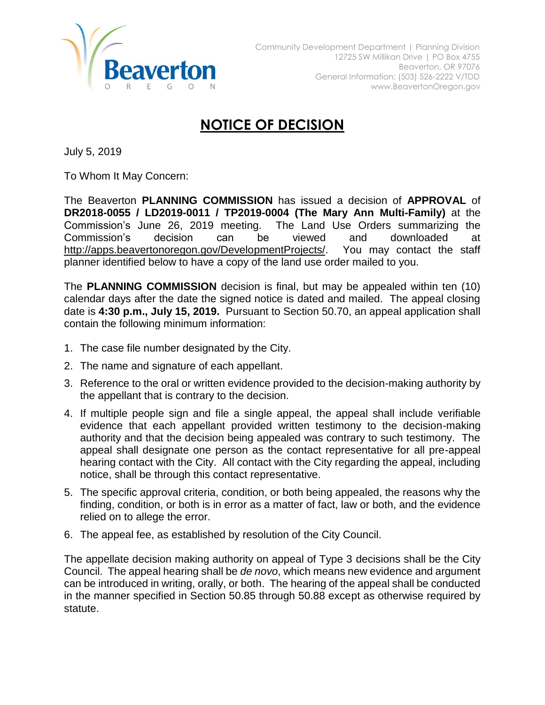

## **NOTICE OF DECISION**

July 5, 2019

To Whom It May Concern:

The Beaverton **PLANNING COMMISSION** has issued a decision of **APPROVAL** of **DR2018-0055 / LD2019-0011 / TP2019-0004 (The Mary Ann Multi-Family)** at the Commission's June 26, 2019 meeting. The Land Use Orders summarizing the Commission's decision can be viewed and downloaded at [http://apps.beavertonoregon.gov/DevelopmentProjects/.](http://apps.beavertonoregon.gov/DevelopmentProjects/) You may contact the staff planner identified below to have a copy of the land use order mailed to you.

The **PLANNING COMMISSION** decision is final, but may be appealed within ten (10) calendar days after the date the signed notice is dated and mailed. The appeal closing date is **4:30 p.m., July 15, 2019.** Pursuant to Section 50.70, an appeal application shall contain the following minimum information:

- 1. The case file number designated by the City.
- 2. The name and signature of each appellant.
- 3. Reference to the oral or written evidence provided to the decision-making authority by the appellant that is contrary to the decision.
- 4. If multiple people sign and file a single appeal, the appeal shall include verifiable evidence that each appellant provided written testimony to the decision-making authority and that the decision being appealed was contrary to such testimony. The appeal shall designate one person as the contact representative for all pre-appeal hearing contact with the City. All contact with the City regarding the appeal, including notice, shall be through this contact representative.
- 5. The specific approval criteria, condition, or both being appealed, the reasons why the finding, condition, or both is in error as a matter of fact, law or both, and the evidence relied on to allege the error.
- 6. The appeal fee, as established by resolution of the City Council.

The appellate decision making authority on appeal of Type 3 decisions shall be the City Council. The appeal hearing shall be *de novo*, which means new evidence and argument can be introduced in writing, orally, or both. The hearing of the appeal shall be conducted in the manner specified in Section 50.85 through 50.88 except as otherwise required by statute.